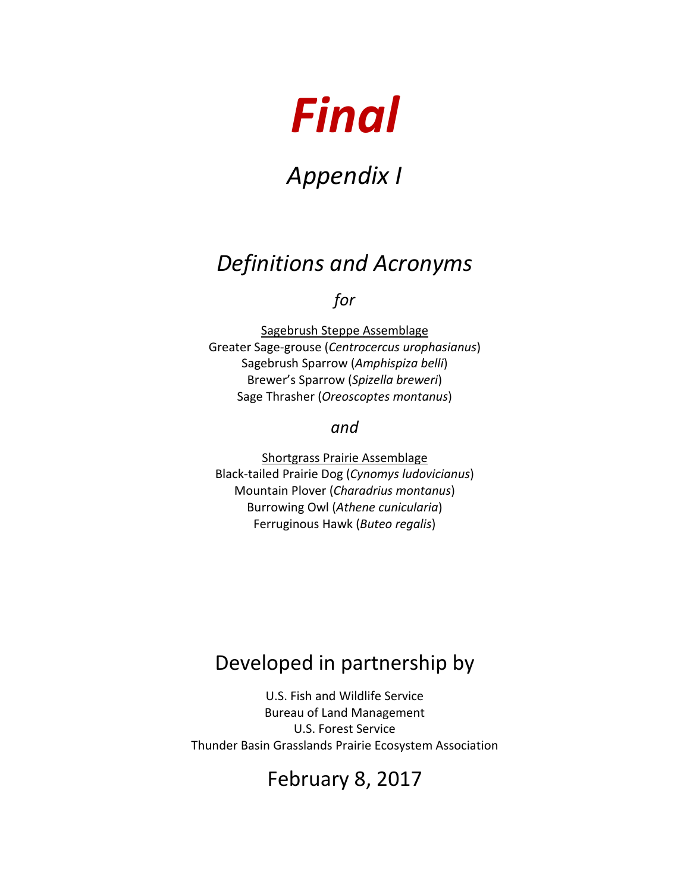# *Final*

# *Appendix I*

## *Definitions and Acronyms*

### *for*

Sagebrush Steppe Assemblage Greater Sage-grouse (*Centrocercus urophasianus*) Sagebrush Sparrow (*Amphispiza belli*) Brewer's Sparrow (*Spizella breweri*) Sage Thrasher (*Oreoscoptes montanus*)

#### *and*

Shortgrass Prairie Assemblage Black-tailed Prairie Dog (*Cynomys ludovicianus*) Mountain Plover (*Charadrius montanus*) Burrowing Owl (*Athene cunicularia*) Ferruginous Hawk (*Buteo regalis*)

## Developed in partnership by

U.S. Fish and Wildlife Service Bureau of Land Management U.S. Forest Service Thunder Basin Grasslands Prairie Ecosystem Association

## February 8, 2017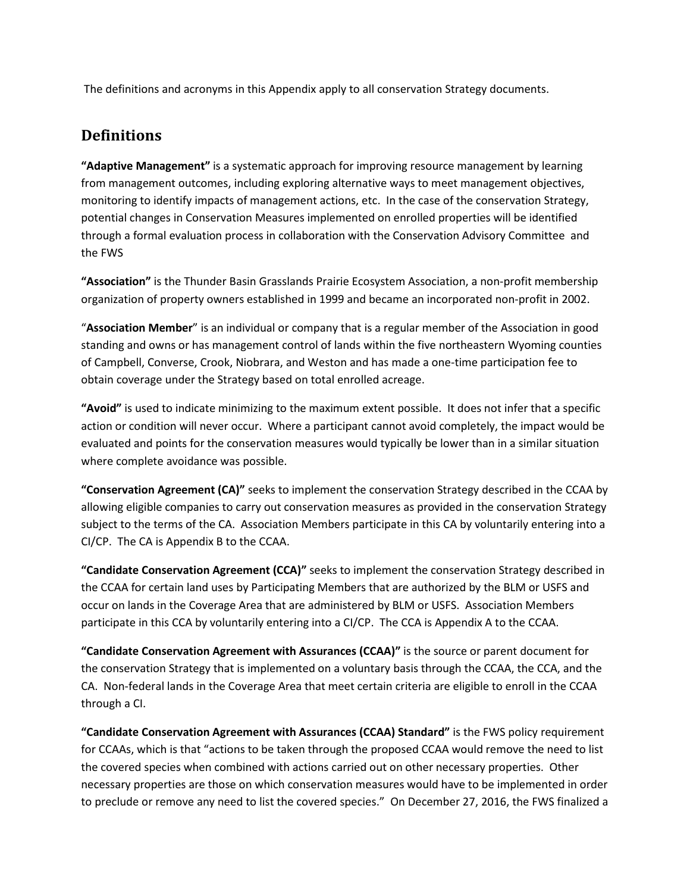The definitions and acronyms in this Appendix apply to all conservation Strategy documents.

#### **Definitions**

**"Adaptive Management"** is a systematic approach for improving resource management by learning from management outcomes, including exploring alternative ways to meet management objectives, monitoring to identify impacts of management actions, etc. In the case of the conservation Strategy, potential changes in Conservation Measures implemented on enrolled properties will be identified through a formal evaluation process in collaboration with the Conservation Advisory Committee and the FWS

**"Association"** is the Thunder Basin Grasslands Prairie Ecosystem Association, a non-profit membership organization of property owners established in 1999 and became an incorporated non-profit in 2002.

"**Association Member**" is an individual or company that is a regular member of the Association in good standing and owns or has management control of lands within the five northeastern Wyoming counties of Campbell, Converse, Crook, Niobrara, and Weston and has made a one-time participation fee to obtain coverage under the Strategy based on total enrolled acreage.

**"Avoid"** is used to indicate minimizing to the maximum extent possible. It does not infer that a specific action or condition will never occur. Where a participant cannot avoid completely, the impact would be evaluated and points for the conservation measures would typically be lower than in a similar situation where complete avoidance was possible.

**"Conservation Agreement (CA)"** seeks to implement the conservation Strategy described in the CCAA by allowing eligible companies to carry out conservation measures as provided in the conservation Strategy subject to the terms of the CA. Association Members participate in this CA by voluntarily entering into a CI/CP. The CA is Appendix B to the CCAA.

**"Candidate Conservation Agreement (CCA)"** seeks to implement the conservation Strategy described in the CCAA for certain land uses by Participating Members that are authorized by the BLM or USFS and occur on lands in the Coverage Area that are administered by BLM or USFS. Association Members participate in this CCA by voluntarily entering into a CI/CP. The CCA is Appendix A to the CCAA.

**"Candidate Conservation Agreement with Assurances (CCAA)"** is the source or parent document for the conservation Strategy that is implemented on a voluntary basis through the CCAA, the CCA, and the CA. Non-federal lands in the Coverage Area that meet certain criteria are eligible to enroll in the CCAA through a CI.

**"Candidate Conservation Agreement with Assurances (CCAA) Standard"** is the FWS policy requirement for CCAAs, which is that "actions to be taken through the proposed CCAA would remove the need to list the covered species when combined with actions carried out on other necessary properties. Other necessary properties are those on which conservation measures would have to be implemented in order to preclude or remove any need to list the covered species." On December 27, 2016, the FWS finalized a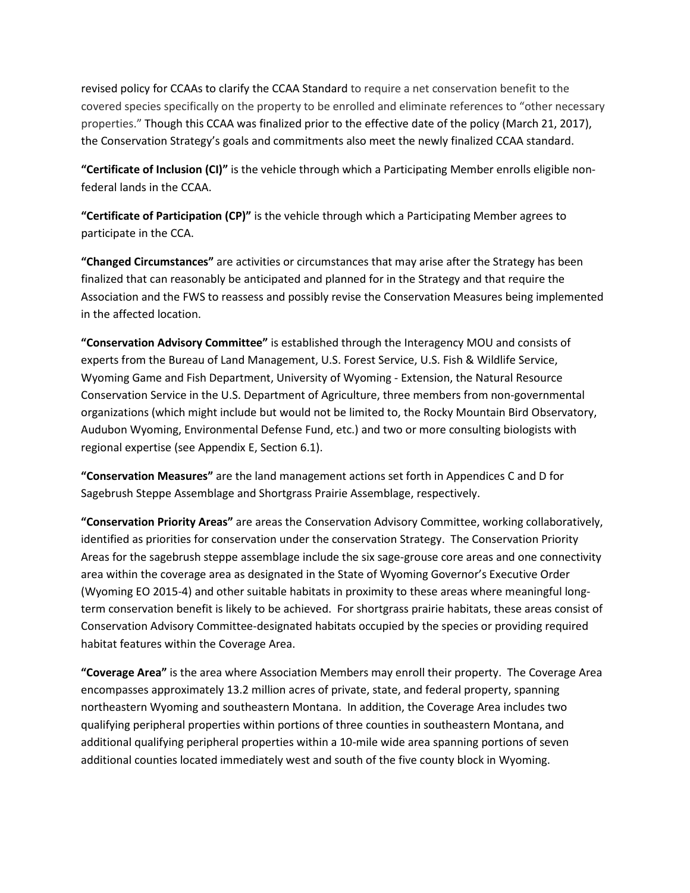revised policy for CCAAs to clarify the CCAA Standard to require a net conservation benefit to the covered species specifically on the property to be enrolled and eliminate references to "other necessary properties." Though this CCAA was finalized prior to the effective date of the policy (March 21, 2017), the Conservation Strategy's goals and commitments also meet the newly finalized CCAA standard.

**"Certificate of Inclusion (CI)"** is the vehicle through which a Participating Member enrolls eligible nonfederal lands in the CCAA.

**"Certificate of Participation (CP)"** is the vehicle through which a Participating Member agrees to participate in the CCA.

**"Changed Circumstances"** are activities or circumstances that may arise after the Strategy has been finalized that can reasonably be anticipated and planned for in the Strategy and that require the Association and the FWS to reassess and possibly revise the Conservation Measures being implemented in the affected location.

**"Conservation Advisory Committee"** is established through the Interagency MOU and consists of experts from the Bureau of Land Management, U.S. Forest Service, U.S. Fish & Wildlife Service, Wyoming Game and Fish Department, University of Wyoming - Extension, the Natural Resource Conservation Service in the U.S. Department of Agriculture, three members from non-governmental organizations (which might include but would not be limited to, the Rocky Mountain Bird Observatory, Audubon Wyoming, Environmental Defense Fund, etc.) and two or more consulting biologists with regional expertise (see Appendix E, Section 6.1).

**"Conservation Measures"** are the land management actions set forth in Appendices C and D for Sagebrush Steppe Assemblage and Shortgrass Prairie Assemblage, respectively.

**"Conservation Priority Areas"** are areas the Conservation Advisory Committee, working collaboratively, identified as priorities for conservation under the conservation Strategy. The Conservation Priority Areas for the sagebrush steppe assemblage include the six sage-grouse core areas and one connectivity area within the coverage area as designated in the State of Wyoming Governor's Executive Order (Wyoming EO 2015-4) and other suitable habitats in proximity to these areas where meaningful longterm conservation benefit is likely to be achieved. For shortgrass prairie habitats, these areas consist of Conservation Advisory Committee-designated habitats occupied by the species or providing required habitat features within the Coverage Area.

**"Coverage Area"** is the area where Association Members may enroll their property. The Coverage Area encompasses approximately 13.2 million acres of private, state, and federal property, spanning northeastern Wyoming and southeastern Montana. In addition, the Coverage Area includes two qualifying peripheral properties within portions of three counties in southeastern Montana, and additional qualifying peripheral properties within a 10-mile wide area spanning portions of seven additional counties located immediately west and south of the five county block in Wyoming.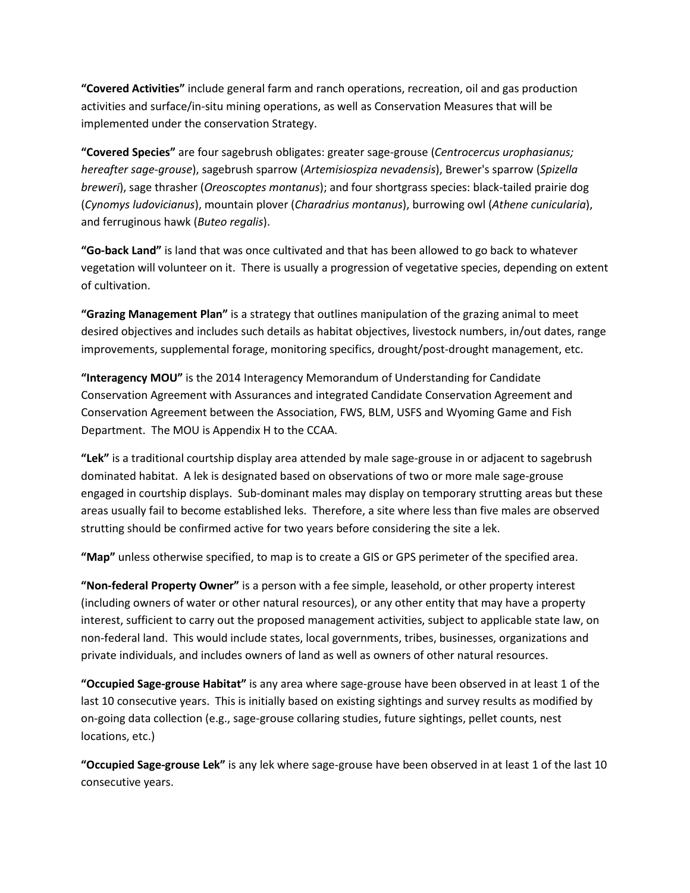**"Covered Activities"** include general farm and ranch operations, recreation, oil and gas production activities and surface/in-situ mining operations, as well as Conservation Measures that will be implemented under the conservation Strategy.

**"Covered Species"** are four sagebrush obligates: greater sage-grouse (*Centrocercus urophasianus; hereafter sage-grouse*), sagebrush sparrow (*Artemisiospiza nevadensis*), Brewer's sparrow (*Spizella breweri*), sage thrasher (*Oreoscoptes montanus*); and four shortgrass species: black-tailed prairie dog (*Cynomys ludovicianus*), mountain plover (*Charadrius montanus*), burrowing owl (*Athene cunicularia*), and ferruginous hawk (*Buteo regalis*).

**"Go-back Land"** is land that was once cultivated and that has been allowed to go back to whatever vegetation will volunteer on it. There is usually a progression of vegetative species, depending on extent of cultivation.

**"Grazing Management Plan"** is a strategy that outlines manipulation of the grazing animal to meet desired objectives and includes such details as habitat objectives, livestock numbers, in/out dates, range improvements, supplemental forage, monitoring specifics, drought/post-drought management, etc.

**"Interagency MOU"** is the 2014 Interagency Memorandum of Understanding for Candidate Conservation Agreement with Assurances and integrated Candidate Conservation Agreement and Conservation Agreement between the Association, FWS, BLM, USFS and Wyoming Game and Fish Department. The MOU is Appendix H to the CCAA.

**"Lek"** is a traditional courtship display area attended by male sage-grouse in or adjacent to sagebrush dominated habitat. A lek is designated based on observations of two or more male sage-grouse engaged in courtship displays. Sub-dominant males may display on temporary strutting areas but these areas usually fail to become established leks. Therefore, a site where less than five males are observed strutting should be confirmed active for two years before considering the site a lek.

**"Map"** unless otherwise specified, to map is to create a GIS or GPS perimeter of the specified area.

**"Non-federal Property Owner"** is a person with a fee simple, leasehold, or other property interest (including owners of water or other natural resources), or any other entity that may have a property interest, sufficient to carry out the proposed management activities, subject to applicable state law, on non-federal land. This would include states, local governments, tribes, businesses, organizations and private individuals, and includes owners of land as well as owners of other natural resources.

**"Occupied Sage-grouse Habitat"** is any area where sage-grouse have been observed in at least 1 of the last 10 consecutive years. This is initially based on existing sightings and survey results as modified by on-going data collection (e.g., sage-grouse collaring studies, future sightings, pellet counts, nest locations, etc.)

**"Occupied Sage-grouse Lek"** is any lek where sage-grouse have been observed in at least 1 of the last 10 consecutive years.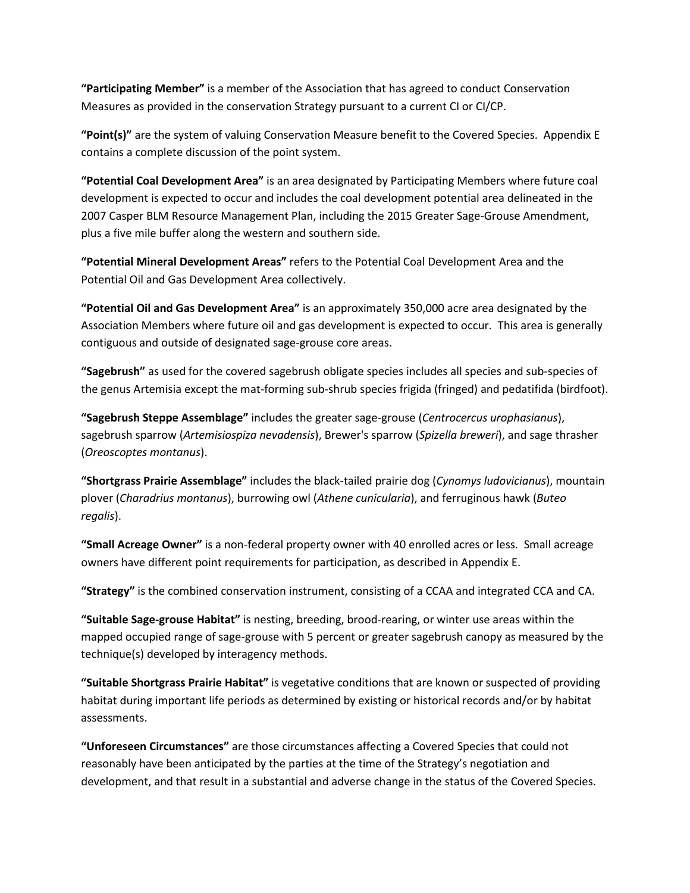**"Participating Member"** is a member of the Association that has agreed to conduct Conservation Measures as provided in the conservation Strategy pursuant to a current CI or CI/CP.

**"Point(s)"** are the system of valuing Conservation Measure benefit to the Covered Species. Appendix E contains a complete discussion of the point system.

**"Potential Coal Development Area"** is an area designated by Participating Members where future coal development is expected to occur and includes the coal development potential area delineated in the 2007 Casper BLM Resource Management Plan, including the 2015 Greater Sage-Grouse Amendment, plus a five mile buffer along the western and southern side.

**"Potential Mineral Development Areas"** refers to the Potential Coal Development Area and the Potential Oil and Gas Development Area collectively.

**"Potential Oil and Gas Development Area"** is an approximately 350,000 acre area designated by the Association Members where future oil and gas development is expected to occur. This area is generally contiguous and outside of designated sage-grouse core areas.

**"Sagebrush"** as used for the covered sagebrush obligate species includes all species and sub-species of the genus Artemisia except the mat-forming sub-shrub species frigida (fringed) and pedatifida (birdfoot).

**"Sagebrush Steppe Assemblage"** includes the greater sage-grouse (*Centrocercus urophasianus*), sagebrush sparrow (*Artemisiospiza nevadensis*), Brewer's sparrow (*Spizella breweri*), and sage thrasher (*Oreoscoptes montanus*).

**"Shortgrass Prairie Assemblage"** includes the black-tailed prairie dog (*Cynomys ludovicianus*), mountain plover (*Charadrius montanus*), burrowing owl (*Athene cunicularia*), and ferruginous hawk (*Buteo regalis*).

**"Small Acreage Owner"** is a non-federal property owner with 40 enrolled acres or less. Small acreage owners have different point requirements for participation, as described in Appendix E.

**"Strategy"** is the combined conservation instrument, consisting of a CCAA and integrated CCA and CA.

**"Suitable Sage-grouse Habitat"** is nesting, breeding, brood-rearing, or winter use areas within the mapped occupied range of sage-grouse with 5 percent or greater sagebrush canopy as measured by the technique(s) developed by interagency methods.

**"Suitable Shortgrass Prairie Habitat"** is vegetative conditions that are known or suspected of providing habitat during important life periods as determined by existing or historical records and/or by habitat assessments.

**"Unforeseen Circumstances"** are those circumstances affecting a Covered Species that could not reasonably have been anticipated by the parties at the time of the Strategy's negotiation and development, and that result in a substantial and adverse change in the status of the Covered Species.